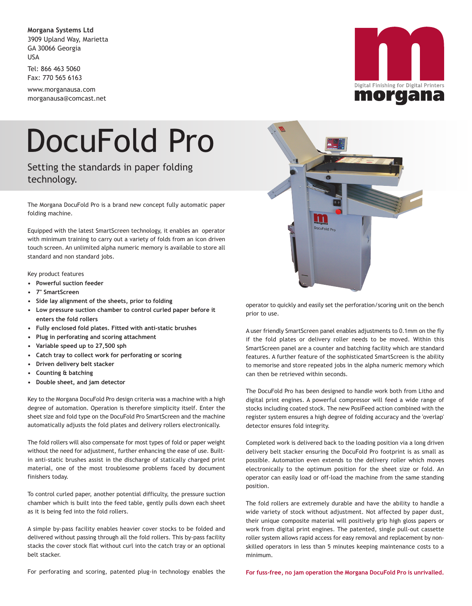**Morgana Systems Ltd** 3909 Upland Way, Marietta GA 30066 Georgia USA

Tel: 866 463 5060 Fax: 770 565 6163

www.morganausa.com morganausa@comcast.net

## DocuFold Pro

Setting the standards in paper folding technology.

The Morgana DocuFold Pro is a brand new concept fully automatic paper folding machine.

Equipped with the latest SmartScreen technology, it enables an operator with minimum training to carry out a variety of folds from an icon driven touch screen. An unlimited alpha numeric memory is available to store all standard and non standard jobs.

## Key product features

- **Powerful suction feeder**
- **7" SmartScreen**
- **Side lay alignment of the sheets, prior to folding**
- **Low pressure suction chamber to control curled paper before it enters the fold rollers**
- **Fully enclosed fold plates. Fitted with anti-static brushes**
- **Plug in perforating and scoring attachment**
- **Variable speed up to 27,500 sph**
- **Catch tray to collect work for perforating or scoring**
- **Driven delivery belt stacker**
- **Counting & batching**
- **Double sheet, and jam detector**

Key to the Morgana DocuFold Pro design criteria was a machine with a high degree of automation. Operation is therefore simplicity itself. Enter the sheet size and fold type on the DocuFold Pro SmartScreen and the machine automatically adjusts the fold plates and delivery rollers electronically.

The fold rollers will also compensate for most types of fold or paper weight without the need for adjustment, further enhancing the ease of use. Builtin anti-static brushes assist in the discharge of statically charged print material, one of the most troublesome problems faced by document finishers today.

To control curled paper, another potential difficulty, the pressure suction chamber which is built into the feed table, gently pulls down each sheet as it is being fed into the fold rollers.

A simple by-pass facility enables heavier cover stocks to be folded and delivered without passing through all the fold rollers. This by-pass facility stacks the cover stock flat without curl into the catch tray or an optional belt stacker.



operator to quickly and easily set the perforation/scoring unit on the bench prior to use.

A user friendly SmartScreen panel enables adjustments to 0.1mm on the fly if the fold plates or delivery roller needs to be moved. Within this SmartScreen panel are a counter and batching facility which are standard features. A further feature of the sophisticated SmartScreen is the ability to memorise and store repeated jobs in the alpha numeric memory which can then be retrieved within seconds.

The DocuFold Pro has been designed to handle work both from Litho and digital print engines. A powerful compressor will feed a wide range of stocks including coated stock. The new PosiFeed action combined with the register system ensures a high degree of folding accuracy and the 'overlap' detector ensures fold integrity.

Completed work is delivered back to the loading position via a long driven delivery belt stacker ensuring the DocuFold Pro footprint is as small as possible. Automation even extends to the delivery roller which moves electronically to the optimum position for the sheet size or fold. An operator can easily load or off-load the machine from the same standing position.

The fold rollers are extremely durable and have the ability to handle a wide variety of stock without adjustment. Not affected by paper dust, their unique composite material will positively grip high gloss papers or work from digital print engines. The patented, single pull-out cassette roller system allows rapid access for easy removal and replacement by nonskilled operators in less than 5 minutes keeping maintenance costs to a minimum.

For perforating and scoring, patented plug-in technology enables the

**For fuss-free, no jam operation the Morgana DocuFold Pro is unrivalled.**